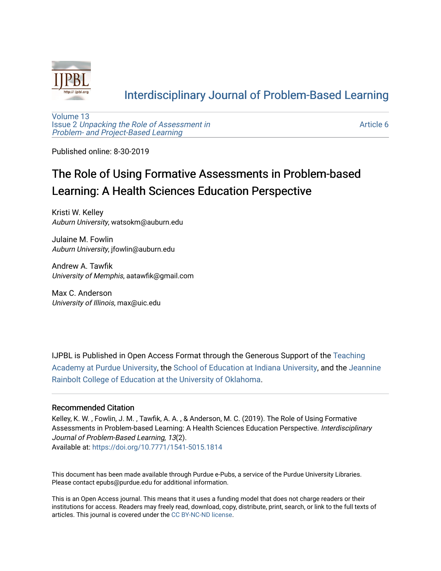

## [Interdisciplinary Journal of Problem-Based Learning](https://docs.lib.purdue.edu/ijpbl)

[Volume 13](https://docs.lib.purdue.edu/ijpbl/vol13) Issue 2 [Unpacking the Role of Assessment in](https://docs.lib.purdue.edu/ijpbl/vol13/iss2)  [Problem- and Project-Based Learning](https://docs.lib.purdue.edu/ijpbl/vol13/iss2)

[Article 6](https://docs.lib.purdue.edu/ijpbl/vol13/iss2/6) 

Published online: 8-30-2019

# The Role of Using Formative Assessments in Problem-based Learning: A Health Sciences Education Perspective

Kristi W. Kelley Auburn University, watsokm@auburn.edu

Julaine M. Fowlin Auburn University, jfowlin@auburn.edu

Andrew A. Tawfik University of Memphis, aatawfik@gmail.com

Max C. Anderson University of Illinois, max@uic.edu

IJPBL is Published in Open Access Format through the Generous Support of the [Teaching](https://www.purdue.edu/cie/aboutus/teachingacademy.html) [Academy at Purdue University](https://www.purdue.edu/cie/aboutus/teachingacademy.html), the [School of Education at Indiana University,](https://education.indiana.edu/index.html) and the [Jeannine](http://ou.edu/education) [Rainbolt College of Education at the University of Oklahoma](http://ou.edu/education).

#### Recommended Citation

Kelley, K. W. , Fowlin, J. M. , Tawfik, A. A. , & Anderson, M. C. (2019). The Role of Using Formative Assessments in Problem-based Learning: A Health Sciences Education Perspective. Interdisciplinary Journal of Problem-Based Learning, 13(2). Available at:<https://doi.org/10.7771/1541-5015.1814>

This document has been made available through Purdue e-Pubs, a service of the Purdue University Libraries. Please contact epubs@purdue.edu for additional information.

This is an Open Access journal. This means that it uses a funding model that does not charge readers or their institutions for access. Readers may freely read, download, copy, distribute, print, search, or link to the full texts of articles. This journal is covered under the [CC BY-NC-ND license](https://creativecommons.org/licenses/by-nc-nd/4.0/).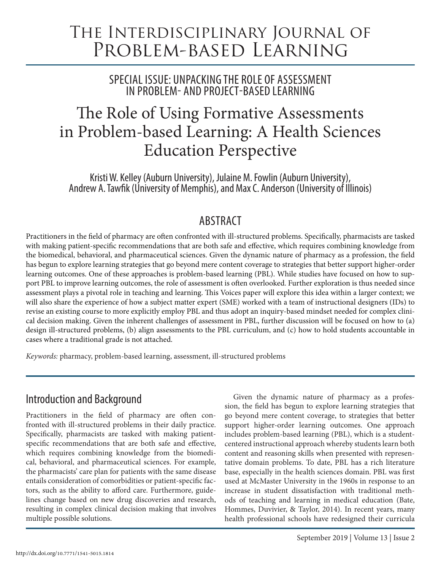# The Interdisciplinary Journal of Problem-based Learning

SPECIAL ISSUE: UNPACKING THE ROLE OF ASSESSMENT IN PROBLEM- AND PROJECT-BASED LEARNING

# The Role of Using Formative Assessments in Problem-based Learning: A Health Sciences Education Perspective

Kristi W. Kelley (Auburn University), Julaine M. Fowlin (Auburn University), Andrew A. Tawfik (University of Memphis), and Max C. Anderson (University of Illinois)

## ABSTRACT

Practitioners in the field of pharmacy are often confronted with ill-structured problems. Specifically, pharmacists are tasked with making patient-specific recommendations that are both safe and effective, which requires combining knowledge from the biomedical, behavioral, and pharmaceutical sciences. Given the dynamic nature of pharmacy as a profession, the field has begun to explore learning strategies that go beyond mere content coverage to strategies that better support higher-order learning outcomes. One of these approaches is problem-based learning (PBL). While studies have focused on how to support PBL to improve learning outcomes, the role of assessment is often overlooked. Further exploration is thus needed since assessment plays a pivotal role in teaching and learning. This Voices paper will explore this idea within a larger context; we will also share the experience of how a subject matter expert (SME) worked with a team of instructional designers (IDs) to revise an existing course to more explicitly employ PBL and thus adopt an inquiry-based mindset needed for complex clinical decision making. Given the inherent challenges of assessment in PBL, further discussion will be focused on how to (a) design ill-structured problems, (b) align assessments to the PBL curriculum, and (c) how to hold students accountable in cases where a traditional grade is not attached.

*Keywords:* pharmacy, problem-based learning, assessment, ill-structured problems

# Introduction and Background

Practitioners in the field of pharmacy are often confronted with ill-structured problems in their daily practice. Specifically, pharmacists are tasked with making patientspecific recommendations that are both safe and effective, which requires combining knowledge from the biomedical, behavioral, and pharmaceutical sciences. For example, the pharmacists' care plan for patients with the same disease entails consideration of comorbidities or patient-specific factors, such as the ability to afford care. Furthermore, guidelines change based on new drug discoveries and research, resulting in complex clinical decision making that involves multiple possible solutions.

Given the dynamic nature of pharmacy as a profession, the field has begun to explore learning strategies that go beyond mere content coverage, to strategies that better support higher-order learning outcomes. One approach includes problem-based learning (PBL), which is a studentcentered instructional approach whereby students learn both content and reasoning skills when presented with representative domain problems. To date, PBL has a rich literature base, especially in the health sciences domain. PBL was first used at McMaster University in the 1960s in response to an increase in student dissatisfaction with traditional methods of teaching and learning in medical education (Bate, Hommes, Duvivier, & Taylor, 2014). In recent years, many health professional schools have redesigned their curricula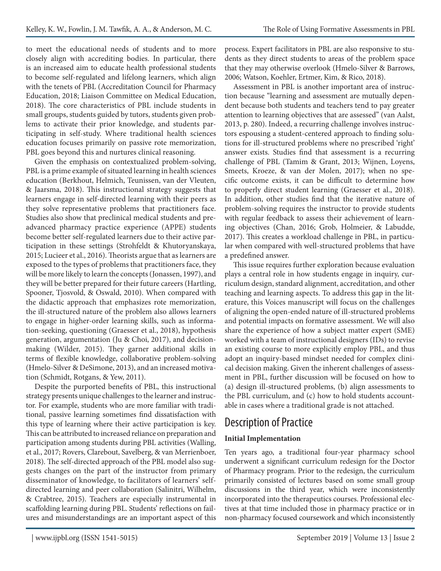to meet the educational needs of students and to more closely align with accrediting bodies. In particular, there is an increased aim to educate health professional students to become self-regulated and lifelong learners, which align with the tenets of PBL (Accreditation Council for Pharmacy Education, 2018; Liaison Committee on Medical Education, 2018). The core characteristics of PBL include students in small groups, students guided by tutors, students given problems to activate their prior knowledge, and students participating in self-study. Where traditional health sciences education focuses primarily on passive rote memorization, PBL goes beyond this and nurtures clinical reasoning.

Given the emphasis on contextualized problem-solving, PBL is a prime example of situated learning in health sciences education (Berkhout, Helmich, Teunissen, van der Vleuten, & Jaarsma, 2018). This instructional strategy suggests that learners engage in self-directed learning with their peers as they solve representative problems that practitioners face. Studies also show that preclinical medical students and preadvanced pharmacy practice experience (APPE) students become better self-regulated learners due to their active participation in these settings (Strohfeldt & Khutoryanskaya, 2015; Lucieer et al., 2016). Theorists argue that as learners are exposed to the types of problems that practitioners face, they will be more likely to learn the concepts (Jonassen, 1997), and they will be better prepared for their future careers (Hartling, Spooner, Tjosvold, & Oswald, 2010). When compared with the didactic approach that emphasizes rote memorization, the ill-structured nature of the problem also allows learners to engage in higher-order learning skills, such as information-seeking, questioning (Graesser et al., 2018), hypothesis generation, argumentation (Ju & Choi, 2017), and decisionmaking (Wilder, 2015). They garner additional skills in terms of flexible knowledge, collaborative problem-solving (Hmelo-Silver & DeSimone, 2013), and an increased motivation (Schmidt, Rotgans, & Yew, 2011).

Despite the purported benefits of PBL, this instructional strategy presents unique challenges to the learner and instructor. For example, students who are more familiar with traditional, passive learning sometimes find dissatisfaction with this type of learning where their active participation is key. This can be attributed to increased reliance on preparation and participation among students during PBL activities (Walling, et al., 2017; Rovers, Clarebout, Savelberg, & van Merrienboer, 2018). The self-directed approach of the PBL model also suggests changes on the part of the instructor from primary disseminator of knowledge, to facilitators of learners' selfdirected learning and peer collaboration (Salinitri, Wilhelm, & Crabtree, 2015). Teachers are especially instrumental in scaffolding learning during PBL. Students' reflections on failures and misunderstandings are an important aspect of this process. Expert facilitators in PBL are also responsive to students as they direct students to areas of the problem space that they may otherwise overlook (Hmelo-Silver & Barrows, 2006; Watson, Koehler, Ertmer, Kim, & Rico, 2018).

Assessment in PBL is another important area of instruction because "learning and assessment are mutually dependent because both students and teachers tend to pay greater attention to learning objectives that are assessed" (van Aalst, 2013, p. 280). Indeed, a recurring challenge involves instructors espousing a student-centered approach to finding solutions for ill-structured problems where no prescribed 'right' answer exists. Studies find that assessment is a recurring challenge of PBL (Tamim & Grant, 2013; Wijnen, Loyens, Smeets, Kroeze, & van der Molen, 2017); when no specific outcome exists, it can be difficult to determine how to properly direct student learning (Graesser et al., 2018). In addition, other studies find that the iterative nature of problem-solving requires the instructor to provide students with regular feedback to assess their achievement of learning objectives (Chan, 2016; Grob, Holmeier, & Labudde, 2017). This creates a workload challenge in PBL, in particular when compared with well-structured problems that have a predefined answer.

This issue requires further exploration because evaluation plays a central role in how students engage in inquiry, curriculum design, standard alignment, accreditation, and other teaching and learning aspects. To address this gap in the literature, this Voices manuscript will focus on the challenges of aligning the open-ended nature of ill-structured problems and potential impacts on formative assessment. We will also share the experience of how a subject matter expert (SME) worked with a team of instructional designers (IDs) to revise an existing course to more explicitly employ PBL, and thus adopt an inquiry-based mindset needed for complex clinical decision making. Given the inherent challenges of assessment in PBL, further discussion will be focused on how to (a) design ill-structured problems, (b) align assessments to the PBL curriculum, and (c) how to hold students accountable in cases where a traditional grade is not attached.

# Description of Practice

#### **Initial Implementation**

Ten years ago, a traditional four-year pharmacy school underwent a significant curriculum redesign for the Doctor of Pharmacy program. Prior to the redesign, the curriculum primarily consisted of lectures based on some small group discussions in the third year, which were inconsistently incorporated into the therapeutics courses. Professional electives at that time included those in pharmacy practice or in non-pharmacy focused coursework and which inconsistently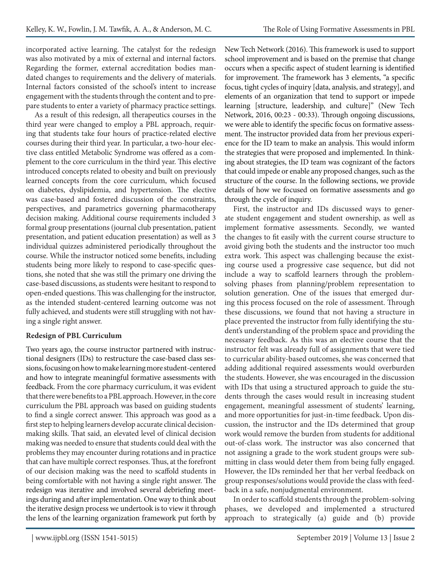incorporated active learning. The catalyst for the redesign was also motivated by a mix of external and internal factors. Regarding the former, external accreditation bodies mandated changes to requirements and the delivery of materials. Internal factors consisted of the school's intent to increase engagement with the students through the content and to prepare students to enter a variety of pharmacy practice settings.

As a result of this redesign, all therapeutics courses in the third year were changed to employ a PBL approach, requiring that students take four hours of practice-related elective courses during their third year. In particular, a two-hour elective class entitled Metabolic Syndrome was offered as a complement to the core curriculum in the third year. This elective introduced concepts related to obesity and built on previously learned concepts from the core curriculum, which focused on diabetes, dyslipidemia, and hypertension. The elective was case-based and fostered discussion of the constraints, perspectives, and parametrics governing pharmacotherapy decision making. Additional course requirements included 3 formal group presentations (journal club presentation, patient presentation, and patient education presentation) as well as 3 individual quizzes administered periodically throughout the course. While the instructor noticed some benefits, including students being more likely to respond to case-specific questions, she noted that she was still the primary one driving the case-based discussions, as students were hesitant to respond to open-ended questions. This was challenging for the instructor, as the intended student-centered learning outcome was not fully achieved, and students were still struggling with not having a single right answer.

#### **Redesign of PBL Curriculum**

Two years ago, the course instructor partnered with instructional designers (IDs) to restructure the case-based class sessions, focusing on how to make learning more student-centered and how to integrate meaningful formative assessments with feedback. From the core pharmacy curriculum, it was evident that there were benefits to a PBL approach. However, in the core curriculum the PBL approach was based on guiding students to find a single correct answer. This approach was good as a first step to helping learners develop accurate clinical decisionmaking skills. That said, an elevated level of clinical decision making was needed to ensure that students could deal with the problems they may encounter during rotations and in practice that can have multiple correct responses. Thus, at the forefront of our decision making was the need to scaffold students in being comfortable with not having a single right answer. The redesign was iterative and involved several debriefing meetings during and after implementation. One way to think about the iterative design process we undertook is to view it through the lens of the learning organization framework put forth by

New Tech Network (2016). This framework is used to support school improvement and is based on the premise that change occurs when a specific aspect of student learning is identified for improvement. The framework has 3 elements, "a specific focus, tight cycles of inquiry [data, analysis, and strategy], and elements of an organization that tend to support or impede learning [structure, leadership, and culture]" (New Tech Network, 2016, 00:23 - 00:33). Through ongoing discussions, we were able to identify the specific focus on formative assessment. The instructor provided data from her previous experience for the ID team to make an analysis. This would inform the strategies that were proposed and implemented. In thinking about strategies, the ID team was cognizant of the factors that could impede or enable any proposed changes, such as the structure of the course. In the following sections, we provide details of how we focused on formative assessments and go through the cycle of inquiry.

First, the instructor and IDs discussed ways to generate student engagement and student ownership, as well as implement formative assessments. Secondly, we wanted the changes to fit easily with the current course structure to avoid giving both the students and the instructor too much extra work. This aspect was challenging because the existing course used a progressive case sequence, but did not include a way to scaffold learners through the problemsolving phases from planning/problem representation to solution generation. One of the issues that emerged during this process focused on the role of assessment. Through these discussions, we found that not having a structure in place prevented the instructor from fully identifying the student's understanding of the problem space and providing the necessary feedback. As this was an elective course that the instructor felt was already full of assignments that were tied to curricular ability-based outcomes, she was concerned that adding additional required assessments would overburden the students. However, she was encouraged in the discussion with IDs that using a structured approach to guide the students through the cases would result in increasing student engagement, meaningful assessment of students' learning, and more opportunities for just-in-time feedback. Upon discussion, the instructor and the IDs determined that group work would remove the burden from students for additional out-of-class work. The instructor was also concerned that not assigning a grade to the work student groups were submitting in class would deter them from being fully engaged. However, the IDs reminded her that her verbal feedback on group responses/solutions would provide the class with feedback in a safe, nonjudgmental environment.

In order to scaffold students through the problem-solving phases, we developed and implemented a structured approach to strategically (a) guide and (b) provide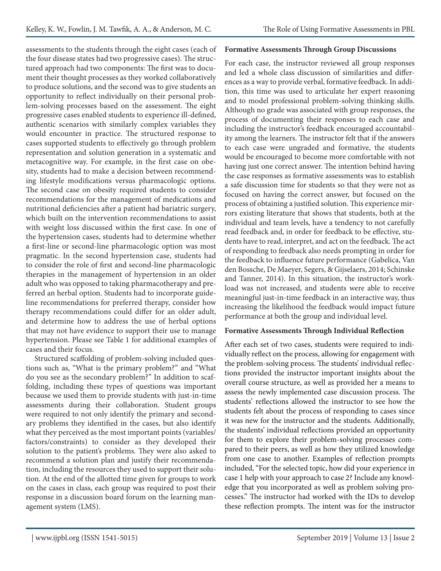assessments to the students through the eight cases (each of the four disease states had two progressive cases). The structured approach had two components: The first was to document their thought processes as they worked collaboratively to produce solutions, and the second was to give students an opportunity to reflect individually on their personal problem-solving processes based on the assessment. The eight progressive cases enabled students to experience ill-defined, authentic scenarios with similarly complex variables they would encounter in practice. The structured response to cases supported students to effectively go through problem representation and solution generation in a systematic and metacognitive way. For example, in the first case on obesity, students had to make a decision between recommending lifestyle modifications versus pharmacologic options. The second case on obesity required students to consider recommendations for the management of medications and nutritional deficiencies after a patient had bariatric surgery, which built on the intervention recommendations to assist with weight loss discussed within the first case. In one of the hypertension cases, students had to determine whether a first-line or second-line pharmacologic option was most pragmatic. In the second hypertension case, students had to consider the role of first and second-line pharmacologic therapies in the management of hypertension in an older adult who was opposed to taking pharmacotherapy and preferred an herbal option. Students had to incorporate guideline recommendations for preferred therapy, consider how therapy recommendations could differ for an older adult, and determine how to address the use of herbal options that may not have evidence to support their use to manage hypertension. Please see Table 1 for additional examples of cases and their focus.

Structured scaffolding of problem-solving included questions such as, "What is the primary problem?" and "What do you see as the secondary problem?" In addition to scaffolding, including these types of questions was important because we used them to provide students with just-in-time assessments during their collaboration. Student groups were required to not only identify the primary and secondary problems they identified in the cases, but also identify what they perceived as the most important points (variables/ factors/constraints) to consider as they developed their solution to the patient's problems. They were also asked to recommend a solution plan and justify their recommendation, including the resources they used to support their solution. At the end of the allotted time given for groups to work on the cases in class, each group was required to post their response in a discussion board forum on the learning management system (LMS).

#### **Formative Assessments Through Group Discussions**

For each case, the instructor reviewed all group responses and led a whole class discussion of similarities and differences as a way to provide verbal, formative feedback. In addition, this time was used to articulate her expert reasoning and to model professional problem-solving thinking skills. Although no grade was associated with group responses, the process of documenting their responses to each case and including the instructor's feedback encouraged accountability among the learners. The instructor felt that if the answers to each case were ungraded and formative, the students would be encouraged to become more comfortable with not having just one correct answer. The intention behind having the case responses as formative assessments was to establish a safe discussion time for students so that they were not as focused on having the correct answer, but focused on the process of obtaining a justified solution. This experience mirrors existing literature that shows that students, both at the individual and team levels, have a tendency to not carefully read feedback and, in order for feedback to be effective, students have to read, interpret, and act on the feedback. The act of responding to feedback also needs prompting in order for the feedback to influence future performance (Gabelica, Van den Bossche, De Maeyer, Segers, & Gijselaers, 2014; Schinske and Tanner, 2014). In this situation, the instructor's workload was not increased, and students were able to receive meaningful just-in-time feedback in an interactive way, thus increasing the likelihood the feedback would impact future performance at both the group and individual level.

#### **Formative Assessments Through Individual Reflection**

After each set of two cases, students were required to individually reflect on the process, allowing for engagement with the problem-solving process. The students' individual reflections provided the instructor important insights about the overall course structure, as well as provided her a means to assess the newly implemented case discussion process. The students' reflections allowed the instructor to see how the students felt about the process of responding to cases since it was new for the instructor and the students. Additionally, the students' individual reflections provided an opportunity for them to explore their problem-solving processes compared to their peers, as well as how they utilized knowledge from one case to another. Examples of reflection prompts included, "For the selected topic, how did your experience in case 1 help with your approach to case 2? Include any knowledge that you incorporated as well as problem solving processes." The instructor had worked with the IDs to develop these reflection prompts. The intent was for the instructor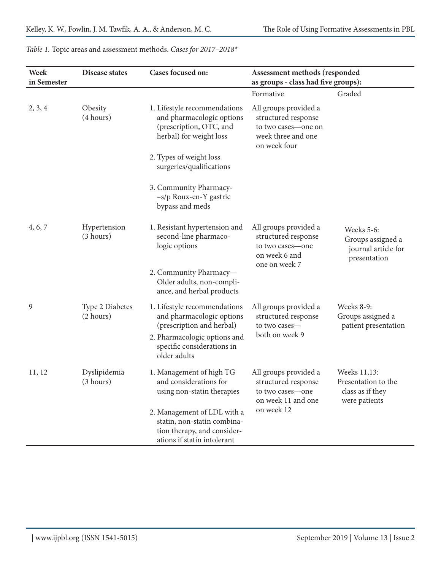| Week<br>in Semester | <b>Disease states</b>        | Cases focused on:                                                                                                        | Assessment methods (responded<br>as groups - class had five groups):                                      |                                                                          |
|---------------------|------------------------------|--------------------------------------------------------------------------------------------------------------------------|-----------------------------------------------------------------------------------------------------------|--------------------------------------------------------------------------|
|                     |                              |                                                                                                                          | Formative                                                                                                 | Graded                                                                   |
| 2, 3, 4             | Obesity<br>(4 hours)         | 1. Lifestyle recommendations<br>and pharmacologic options<br>(prescription, OTC, and<br>herbal) for weight loss          | All groups provided a<br>structured response<br>to two cases-one on<br>week three and one<br>on week four |                                                                          |
|                     |                              | 2. Types of weight loss<br>surgeries/qualifications                                                                      |                                                                                                           |                                                                          |
|                     |                              | 3. Community Pharmacy-<br>-s/p Roux-en-Y gastric<br>bypass and meds                                                      |                                                                                                           |                                                                          |
| 4, 6, 7             | Hypertension<br>(3 hours)    | 1. Resistant hypertension and<br>second-line pharmaco-<br>logic options                                                  | All groups provided a<br>structured response<br>to two cases-one<br>on week 6 and<br>one on week 7        | Weeks 5-6:<br>Groups assigned a<br>journal article for<br>presentation   |
|                     |                              | 2. Community Pharmacy-<br>Older adults, non-compli-<br>ance, and herbal products                                         |                                                                                                           |                                                                          |
| 9                   | Type 2 Diabetes<br>(2 hours) | 1. Lifestyle recommendations<br>and pharmacologic options<br>(prescription and herbal)                                   | All groups provided a<br>structured response<br>to two cases-<br>both on week 9                           | Weeks 8-9:<br>Groups assigned a<br>patient presentation                  |
|                     |                              | 2. Pharmacologic options and<br>specific considerations in<br>older adults                                               |                                                                                                           |                                                                          |
| 11, 12              | Dyslipidemia<br>(3 hours)    | 1. Management of high TG<br>and considerations for<br>using non-statin therapies                                         | All groups provided a<br>structured response<br>to two cases-one<br>on week 11 and one<br>on week 12      | Weeks 11,13:<br>Presentation to the<br>class as if they<br>were patients |
|                     |                              | 2. Management of LDL with a<br>statin, non-statin combina-<br>tion therapy, and consider-<br>ations if statin intolerant |                                                                                                           |                                                                          |

*Table 1.* Topic areas and assessment methods. *Cases for 2017–2018\**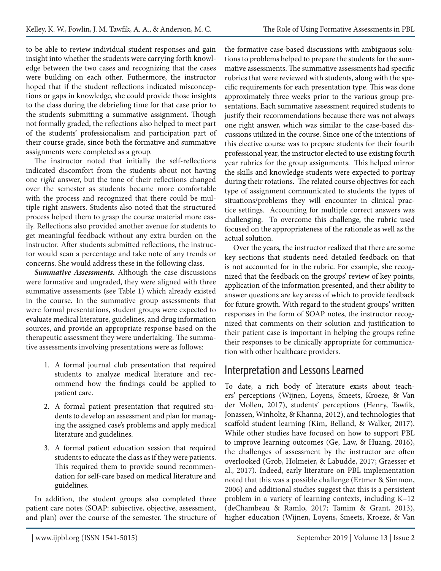to be able to review individual student responses and gain insight into whether the students were carrying forth knowledge between the two cases and recognizing that the cases were building on each other. Futhermore, the instructor hoped that if the student reflections indicated misconceptions or gaps in knowledge, she could provide those insights to the class during the debriefing time for that case prior to the students submitting a summative assignment. Though not formally graded, the reflections also helped to meet part of the students' professionalism and participation part of their course grade, since both the formative and summative assignments were completed as a group.

The instructor noted that initially the self-reflections indicated discomfort from the students about not having one *right* answer, but the tone of their reflections changed over the semester as students became more comfortable with the process and recognized that there could be multiple right answers. Students also noted that the structured process helped them to grasp the course material more easily. Reflections also provided another avenue for students to get meaningful feedback without any extra burden on the instructor. After students submitted reflections, the instructor would scan a percentage and take note of any trends or concerns. She would address these in the following class.

*Summative Assessments.* Although the case discussions were formative and ungraded, they were aligned with three summative assessments (see Table 1) which already existed in the course. In the summative group assessments that were formal presentations, student groups were expected to evaluate medical literature, guidelines, and drug information sources, and provide an appropriate response based on the therapeutic assessment they were undertaking. The summative assessments involving presentations were as follows:

- 1. A formal journal club presentation that required students to analyze medical literature and recommend how the findings could be applied to patient care.
- 2. A formal patient presentation that required students to develop an assessment and plan for managing the assigned case's problems and apply medical literature and guidelines.
- 3. A formal patient education session that required students to educate the class as if they were patients. This required them to provide sound recommendation for self-care based on medical literature and guidelines.

In addition, the student groups also completed three patient care notes (SOAP: subjective, objective, assessment, and plan) over the course of the semester. The structure of the formative case-based discussions with ambiguous solutions to problems helped to prepare the students for the summative assessments. The summative assessments had specific rubrics that were reviewed with students, along with the specific requirements for each presentation type. This was done approximately three weeks prior to the various group presentations. Each summative assessment required students to justify their recommendations because there was not always one right answer, which was similar to the case-based discussions utilized in the course. Since one of the intentions of this elective course was to prepare students for their fourth professional year, the instructor elected to use existing fourth year rubrics for the group assignments. This helped mirror the skills and knowledge students were expected to portray during their rotations. The related course objectives for each type of assignment communicated to students the types of situations/problems they will encounter in clinical practice settings. Accounting for multiple correct answers was challenging. To overcome this challenge, the rubric used focused on the appropriateness of the rationale as well as the actual solution.

Over the years, the instructor realized that there are some key sections that students need detailed feedback on that is not accounted for in the rubric. For example, she recognized that the feedback on the groups' review of key points, application of the information presented, and their ability to answer questions are key areas of which to provide feedback for future growth. With regard to the student groups' written responses in the form of SOAP notes, the instructor recognized that comments on their solution and justification to their patient case is important in helping the groups refine their responses to be clinically appropriate for communication with other healthcare providers.

### Interpretation and Lessons Learned

To date, a rich body of literature exists about teachers' perceptions (Wijnen, Loyens, Smeets, Kroeze, & Van der Mollen, 2017), students' perceptions (Henry, Tawfik, Jonassen, Winholtz, & Khanna, 2012), and technologies that scaffold student learning (Kim, Belland, & Walker, 2017). While other studies have focused on how to support PBL to improve learning outcomes (Ge, Law, & Huang, 2016), the challenges of assessment by the instructor are often overlooked (Grob, Holmeier, & Labudde, 2017; Graesser et al., 2017). Indeed, early literature on PBL implementation noted that this was a possible challenge (Ertmer & Simmon, 2006) and additional studies suggest that this is a persistent problem in a variety of learning contexts, including K–12 (deChambeau & Ramlo, 2017; Tamim & Grant, 2013), higher education (Wijnen, Loyens, Smeets, Kroeze, & Van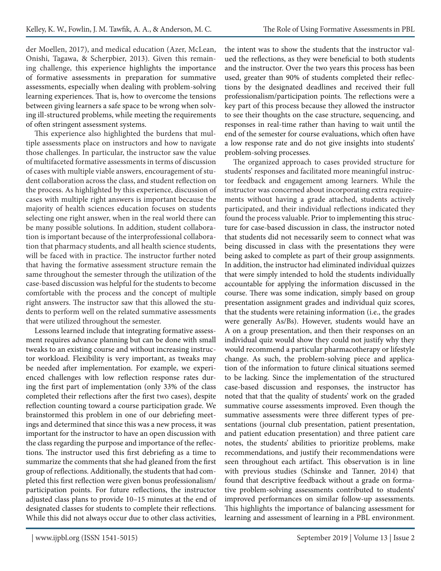der Moellen, 2017), and medical education (Azer, McLean, Onishi, Tagawa, & Scherpbier, 2013). Given this remaining challenge, this experience highlights the importance of formative assessments in preparation for summative assessments, especially when dealing with problem-solving learning experiences. That is, how to overcome the tensions between giving learners a safe space to be wrong when solving ill-structured problems, while meeting the requirements of often stringent assessment systems.

This experience also highlighted the burdens that multiple assessments place on instructors and how to navigate those challenges. In particular, the instructor saw the value of multifaceted formative assessments in terms of discussion of cases with multiple viable answers, encouragement of student collaboration across the class, and student reflection on the process. As highlighted by this experience, discussion of cases with multiple right answers is important because the majority of health sciences education focuses on students selecting one right answer, when in the real world there can be many possible solutions. In addition, student collaboration is important because of the interprofessional collaboration that pharmacy students, and all health science students, will be faced with in practice. The instructor further noted that having the formative assessment structure remain the same throughout the semester through the utilization of the case-based discussion was helpful for the students to become comfortable with the process and the concept of multiple right answers. The instructor saw that this allowed the students to perform well on the related summative assessments that were utilized throughout the semester.

Lessons learned include that integrating formative assessment requires advance planning but can be done with small tweaks to an existing course and without increasing instructor workload. Flexibility is very important, as tweaks may be needed after implementation. For example, we experienced challenges with low reflection response rates during the first part of implementation (only 33% of the class completed their reflections after the first two cases), despite reflection counting toward a course participation grade. We brainstormed this problem in one of our debriefing meetings and determined that since this was a new process, it was important for the instructor to have an open discussion with the class regarding the purpose and importance of the reflections. The instructor used this first debriefing as a time to summarize the comments that she had gleaned from the first group of reflections. Additionally, the students that had completed this first reflection were given bonus professionalism/ participation points. For future reflections, the instructor adjusted class plans to provide 10–15 minutes at the end of designated classes for students to complete their reflections. While this did not always occur due to other class activities,

the intent was to show the students that the instructor valued the reflections, as they were beneficial to both students and the instructor. Over the two years this process has been used, greater than 90% of students completed their reflections by the designated deadlines and received their full professionalism/participation points. The reflections were a key part of this process because they allowed the instructor to see their thoughts on the case structure, sequencing, and responses in real-time rather than having to wait until the end of the semester for course evaluations, which often have a low response rate and do not give insights into students' problem-solving processes.

The organized approach to cases provided structure for students' responses and facilitated more meaningful instructor feedback and engagement among learners. While the instructor was concerned about incorporating extra requirements without having a grade attached, students actively participated, and their individual reflections indicated they found the process valuable. Prior to implementing this structure for case-based discussion in class, the instructor noted that students did not necessarily seem to connect what was being discussed in class with the presentations they were being asked to complete as part of their group assignments. In addition, the instructor had eliminated individual quizzes that were simply intended to hold the students individually accountable for applying the information discussed in the course. There was some indication, simply based on group presentation assignment grades and individual quiz scores, that the students were retaining information (i.e., the grades were generally As/Bs). However, students would have an A on a group presentation, and then their responses on an individual quiz would show they could not justify why they would recommend a particular pharmacotherapy or lifestyle change. As such, the problem-solving piece and application of the information to future clinical situations seemed to be lacking. Since the implementation of the structured case-based discussion and responses, the instructor has noted that that the quality of students' work on the graded summative course assessments improved. Even though the summative assessments were three different types of presentations (journal club presentation, patient presentation, and patient education presentation) and three patient care notes, the students' abilities to prioritize problems, make recommendations, and justify their recommendations were seen throughout each artifact. This observation is in line with previous studies (Schinske and Tanner, 2014) that found that descriptive feedback without a grade on formative problem-solving assessments contributed to students' improved performances on similar follow-up assessments. This highlights the importance of balancing assessment for learning and assessment of learning in a PBL environment.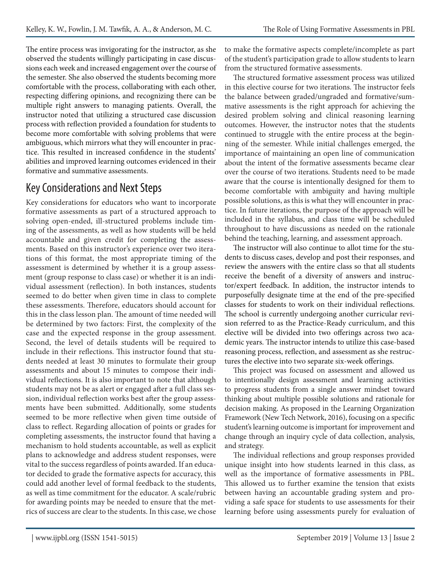The entire process was invigorating for the instructor, as she observed the students willingly participating in case discussions each week and increased engagement over the course of the semester. She also observed the students becoming more comfortable with the process, collaborating with each other, respecting differing opinions, and recognizing there can be multiple right answers to managing patients. Overall, the instructor noted that utilizing a structured case discussion process with reflection provided a foundation for students to become more comfortable with solving problems that were ambiguous, which mirrors what they will encounter in practice. This resulted in increased confidence in the students' abilities and improved learning outcomes evidenced in their formative and summative assessments.

### Key Considerations and Next Steps

Key considerations for educators who want to incorporate formative assessments as part of a structured approach to solving open-ended, ill-structured problems include timing of the assessments, as well as how students will be held accountable and given credit for completing the assessments. Based on this instructor's experience over two iterations of this format, the most appropriate timing of the assessment is determined by whether it is a group assessment (group response to class case) or whether it is an individual assessment (reflection). In both instances, students seemed to do better when given time in class to complete these assessments. Therefore, educators should account for this in the class lesson plan. The amount of time needed will be determined by two factors: First, the complexity of the case and the expected response in the group assessment. Second, the level of details students will be required to include in their reflections. This instructor found that students needed at least 30 minutes to formulate their group assessments and about 15 minutes to compose their individual reflections. It is also important to note that although students may not be as alert or engaged after a full class session, individual reflection works best after the group assessments have been submitted. Additionally, some students seemed to be more reflective when given time outside of class to reflect. Regarding allocation of points or grades for completing assessments, the instructor found that having a mechanism to hold students accountable, as well as explicit plans to acknowledge and address student responses, were vital to the success regardless of points awarded. If an educator decided to grade the formative aspects for accuracy, this could add another level of formal feedback to the students, as well as time commitment for the educator. A scale/rubric for awarding points may be needed to ensure that the metrics of success are clear to the students. In this case, we chose

to make the formative aspects complete/incomplete as part of the student's participation grade to allow students to learn from the structured formative assessments.

The structured formative assessment process was utilized in this elective course for two iterations. The instructor feels the balance between graded/ungraded and formative/summative assessments is the right approach for achieving the desired problem solving and clinical reasoning learning outcomes. However, the instructor notes that the students continued to struggle with the entire process at the beginning of the semester. While initial challenges emerged, the importance of maintaining an open line of communication about the intent of the formative assessments became clear over the course of two iterations. Students need to be made aware that the course is intentionally designed for them to become comfortable with ambiguity and having multiple possible solutions, as this is what they will encounter in practice. In future iterations, the purpose of the approach will be included in the syllabus, and class time will be scheduled throughout to have discussions as needed on the rationale behind the teaching, learning, and assessment approach.

The instructor will also continue to allot time for the students to discuss cases, develop and post their responses, and review the answers with the entire class so that all students receive the benefit of a diversity of answers and instructor/expert feedback. In addition, the instructor intends to purposefully designate time at the end of the pre-specified classes for students to work on their individual reflections. The school is currently undergoing another curricular revision referred to as the Practice-Ready curriculum, and this elective will be divided into two offerings across two academic years. The instructor intends to utilize this case-based reasoning process, reflection, and assessment as she restructures the elective into two separate six-week offerings.

This project was focused on assessment and allowed us to intentionally design assessment and learning activities to progress students from a single answer mindset toward thinking about multiple possible solutions and rationale for decision making. As proposed in the Learning Organization Framework (New Tech Network, 2016), focusing on a specific student's learning outcome is important for improvement and change through an inquiry cycle of data collection, analysis, and strategy.

The individual reflections and group responses provided unique insight into how students learned in this class, as well as the importance of formative assessments in PBL. This allowed us to further examine the tension that exists between having an accountable grading system and providing a safe space for students to use assessments for their learning before using assessments purely for evaluation of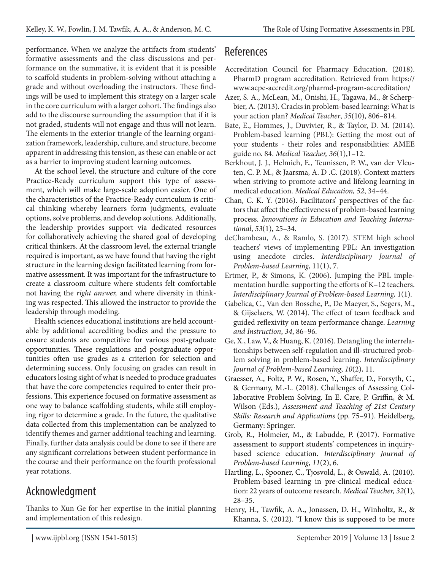performance. When we analyze the artifacts from students' formative assessments and the class discussions and performance on the summative, it is evident that it is possible to scaffold students in problem-solving without attaching a grade and without overloading the instructors. These findings will be used to implement this strategy on a larger scale in the core curriculum with a larger cohort. The findings also add to the discourse surrounding the assumption that if it is not graded, students will not engage and thus will not learn. The elements in the exterior triangle of the learning organization framework, leadership, culture, and structure, become apparent in addressing this tension, as these can enable or act as a barrier to improving student learning outcomes.

At the school level, the structure and culture of the core Practice-Ready curriculum support this type of assessment, which will make large-scale adoption easier. One of the characteristics of the Practice-Ready curriculum is critical thinking whereby learners form judgments, evaluate options, solve problems, and develop solutions. Additionally, the leadership provides support via dedicated resources for collaboratively achieving the shared goal of developing critical thinkers. At the classroom level, the external triangle required is important, as we have found that having the right structure in the learning design facilitated learning from formative assessment. It was important for the infrastructure to create a classroom culture where students felt comfortable not having the *right answer,* and where diversity in thinking was respected. This allowed the instructor to provide the leadership through modeling.

Health sciences educational institutions are held accountable by additional accrediting bodies and the pressure to ensure students are competitive for various post-graduate opportunities. These regulations and postgraduate opportunities often use grades as a criterion for selection and determining success. Only focusing on grades can result in educators losing sight of what is needed to produce graduates that have the core competencies required to enter their professions. This experience focused on formative assessment as one way to balance scaffolding students, while still employing rigor to determine a grade. In the future, the qualitative data collected from this implementation can be analyzed to identify themes and garner additional teaching and learning. Finally, further data analysis could be done to see if there are any significant correlations between student performance in the course and their performance on the fourth professional year rotations.

# Acknowledgment

Thanks to Xun Ge for her expertise in the initial planning and implementation of this redesign.

### References

- Accreditation Council for Pharmacy Education. (2018). PharmD program accreditation. Retrieved from https:// www.acpe-accredit.org/pharmd-program-accreditation/
- Azer, S. A., McLean, M., Onishi, H., Tagawa, M., & Scherpbier, A. (2013). Cracks in problem-based learning: What is your action plan? *Medical Teacher*, *35*(10), 806–814.
- Bate, E., Hommes, J., Duvivier, R., & Taylor, D. M. (2014). Problem-based learning (PBL): Getting the most out of your students - their roles and responsibilities: AMEE guide no. 84. *Medical Teacher, 36*(1),1–12.
- Berkhout, J. J., Helmich, E., Teunissen, P. W., van der Vleuten, C. P. M., & Jaarsma, A. D .C. (2018). Context matters when striving to promote active and lifelong learning in medical education. *Medical Education, 52*, 34–44.
- Chan, C. K. Y. (2016). Facilitators' perspectives of the factors that affect the effectiveness of problem-based learning process. *Innovations in Education and Teaching International*, *53*(1), 25–34.
- deChambeau, A., & Ramlo, S. (2017). STEM high school teachers' views of implementing PBL: An investigation using anecdote circles. *Interdisciplinary Journal of Problem-based Learning*, 11(1), 7.
- Ertmer, P., & Simons, K. (2006). Jumping the PBL implementation hurdle: supporting the efforts of K–12 teachers. *Interdisciplinary Journal of Problem-based Learning,* 1(1).
- Gabelica, C., Van den Bossche, P., De Maeyer, S., Segers, M., & Gijselaers, W. (2014). The effect of team feedback and guided reflexivity on team performance change. *Learning and Instruction*, *34*, 86–96.
- Ge, X., Law, V., & Huang, K. (2016). Detangling the interrelationships between self-regulation and ill-structured problem solving in problem-based learning. *Interdisciplinary Journal of Problem-based Learning*, *10*(2), 11.
- Graesser, A., Foltz, P. W., Rosen, Y., Shaffer, D., Forsyth, C., & Germany, M.-L. (2018). Challenges of Assessing Collaborative Problem Solving. In E. Care, P. Griffin, & M. Wilson (Eds.), *Assessment and Teaching of 21st Century Skills: Research and Applications* (pp. 75–91). Heidelberg, Germany: Springer.
- Grob, R., Holmeier, M., & Labudde, P. (2017). Formative assessment to support students' competences in inquirybased science education. *Interdisciplinary Journal of Problem-based Learning*, *11*(2), 6.
- Hartling, L., Spooner, C., Tjosvold, L., & Oswald, A. (2010). Problem-based learning in pre-clinical medical education: 22 years of outcome research. *Medical Teacher, 32*(1), 28–35.
- Henry, H., Tawfik, A. A., Jonassen, D. H., Winholtz, R., & Khanna, S. (2012). "I know this is supposed to be more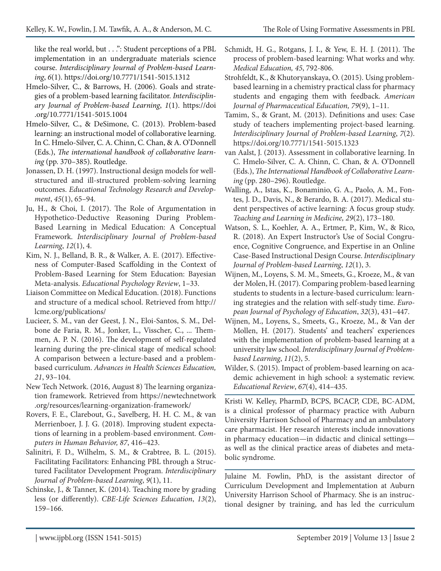like the real world, but . . .": Student perceptions of a PBL implementation in an undergraduate materials science course. *Interdisciplinary Journal of Problem-based Learning*, *6*(1). https://doi.org/10.7771/1541-5015.1312

- Hmelo-Silver, C., & Barrows, H. (2006). Goals and strategies of a problem-based learning facilitator. *Interdisciplinary Journal of Problem-based Learning*, *1*(1). https://doi .org/10.7771/1541-5015.1004
- Hmelo-Silver, C., & DeSimone, C. (2013). Problem-based learning: an instructional model of collaborative learning. In C. Hmelo-Silver, C. A. Chinn, C. Chan, & A. O'Donnell (Eds.), *The international handbook of collaborative learning* (pp. 370–385). Routledge.
- Jonassen, D. H. (1997). Instructional design models for wellstructured and ill-structured problem-solving learning outcomes. *Educational Technology Research and Development*, *45*(1), 65–94.
- Ju, H., & Choi, I. (2017). The Role of Argumentation in Hypothetico-Deductive Reasoning During Problem-Based Learning in Medical Education: A Conceptual Framework. *Interdisciplinary Journal of Problem-based Learning*, *12*(1), 4.
- Kim, N. J., Belland, B. R., & Walker, A. E. (2017). Effectiveness of Computer-Based Scaffolding in the Context of Problem-Based Learning for Stem Education: Bayesian Meta-analysis. *Educational Psychology Review*, 1–33.
- Liaison Committee on Medical Education. (2018). Functions and structure of a medical school. Retrieved from http:// lcme.org/publications/
- Lucieer, S. M., van der Geest, J. N., Eloi-Santos, S. M., Delbone de Faria, R. M., Jonker, L., Visscher, C., ... Themmen, A. P. N. (2016). The development of self-regulated learning during the pre-clinical stage of medical school: A comparison between a lecture-based and a problembased curriculum. *Advances in Health Sciences Education, 21*, 93–104.
- New Tech Network. (2016, August 8) The learning organization framework. Retrieved from https://newtechnetwork .org/resources/learning-organization-framework/
- Rovers, F. E., Clarebout, G., Savelberg, H. H. C. M., & van Merrienboer, J. J. G. (2018). Improving student expectations of learning in a problem-based environment. *Computers in Human Behavior, 87*, 416–423.
- Salinitri, F. D., Wilhelm, S. M., & Crabtree, B. L. (2015). Facilitating Facilitators: Enhancing PBL through a Structured Facilitator Development Program. *Interdisciplinary Journal of Problem-based Learning*, *9*(1), 11.
- Schinske, J., & Tanner, K. (2014). Teaching more by grading less (or differently). *CBE-Life Sciences Education*, *13*(2), 159–166.
- Schmidt, H. G., Rotgans, J. I., & Yew, E. H. J. (2011). The process of problem-based learning: What works and why. *Medical Education, 45*, 792-806.
- Strohfeldt, K., & Khutoryanskaya, O. (2015). Using problembased learning in a chemistry practical class for pharmacy students and engaging them with feedback. *American Journal of Pharmaceutical Education, 79*(9), 1–11.
- Tamim, S., & Grant, M. (2013). Definitions and uses: Case study of teachers implementing project-based learning. *Interdisciplinary Journal of Problem-based Learning*, *7*(2). https://doi.org/10.7771/1541-5015.1323
- van Aalst, J. (2013). Assessment in collaborative learning. In C. Hmelo-Silver, C. A. Chinn, C. Chan, & A. O'Donnell (Eds.), *The International Handbook of Collaborative Learning* (pp. 280–296). Routledge.
- Walling, A., Istas, K., Bonaminio, G. A., Paolo, A. M., Fontes, J. D., Davis, N., & Berardo, B. A. (2017). Medical student perspectives of active learning: A focus group study. *Teaching and Learning in Medicine, 29*(2), 173–180.
- Watson, S. L., Koehler, A. A., Ertmer, P., Kim, W., & Rico, R. (2018). An Expert Instructor's Use of Social Congruence, Cognitive Congruence, and Expertise in an Online Case-Based Instructional Design Course. *Interdisciplinary Journal of Problem-based Learning*, *12*(1), 3.
- Wijnen, M., Loyens, S. M. M., Smeets, G., Kroeze, M., & van der Molen, H. (2017). Comparing problem-based learning students to students in a lecture-based curriculum: learning strategies and the relation with self-study time. *European Journal of Psychology of Education*, *32*(3), 431–447.
- Wijnen, M., Loyens, S., Smeets, G., Kroeze, M., & Van der Mollen, H. (2017). Students' and teachers' experiences with the implementation of problem-based learning at a university law school. *Interdisciplinary Journal of Problembased Learning*, *11*(2), 5.
- Wilder, S. (2015). Impact of problem-based learning on academic achievement in high school: a systematic review. *Educational Review*, *67*(4), 414–435.

Kristi W. Kelley, PharmD, BCPS, BCACP, CDE, BC-ADM, is a clinical professor of pharmacy practice with Auburn University Harrison School of Pharmacy and an ambulatory care pharmacist. Her research interests include innovations in pharmacy education—in didactic and clinical settings as well as the clinical practice areas of diabetes and metabolic syndrome.

Julaine M. Fowlin, PhD, is the assistant director of Curriculum Development and Implementation at Auburn University Harrison School of Pharmacy. She is an instructional designer by training, and has led the curriculum